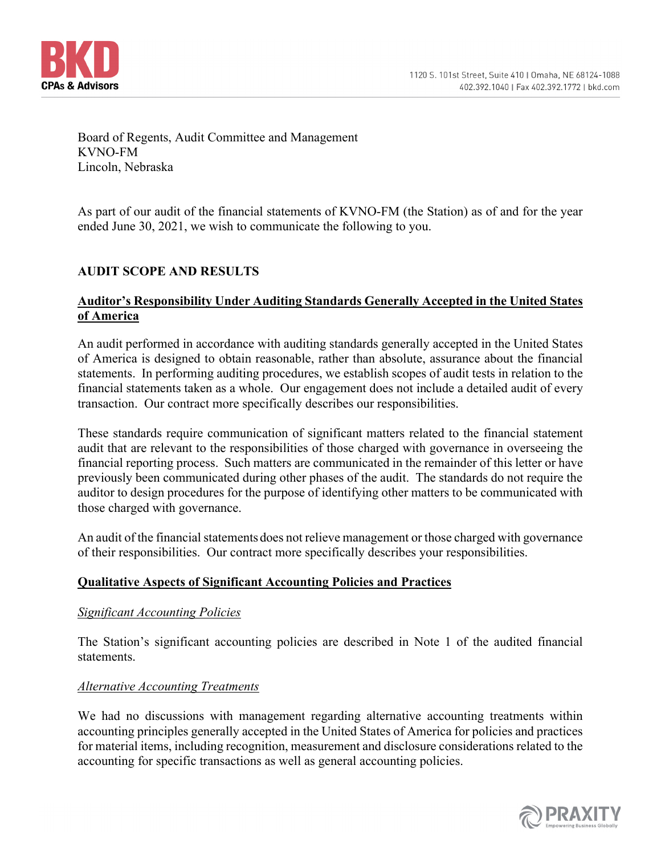

Board of Regents, Audit Committee and Management KVNO-FM Lincoln, Nebraska

As part of our audit of the financial statements of KVNO-FM (the Station) as of and for the year ended June 30, 2021, we wish to communicate the following to you.

# **AUDIT SCOPE AND RESULTS**

### **Auditor's Responsibility Under Auditing Standards Generally Accepted in the United States of America**

An audit performed in accordance with auditing standards generally accepted in the United States of America is designed to obtain reasonable, rather than absolute, assurance about the financial statements. In performing auditing procedures, we establish scopes of audit tests in relation to the financial statements taken as a whole. Our engagement does not include a detailed audit of every transaction. Our contract more specifically describes our responsibilities.

These standards require communication of significant matters related to the financial statement audit that are relevant to the responsibilities of those charged with governance in overseeing the financial reporting process. Such matters are communicated in the remainder of this letter or have previously been communicated during other phases of the audit. The standards do not require the auditor to design procedures for the purpose of identifying other matters to be communicated with those charged with governance.

An audit of the financial statements does not relieve management or those charged with governance of their responsibilities. Our contract more specifically describes your responsibilities.

#### **Qualitative Aspects of Significant Accounting Policies and Practices**

#### *Significant Accounting Policies*

The Station's significant accounting policies are described in Note 1 of the audited financial statements.

#### *Alternative Accounting Treatments*

We had no discussions with management regarding alternative accounting treatments within accounting principles generally accepted in the United States of America for policies and practices for material items, including recognition, measurement and disclosure considerations related to the accounting for specific transactions as well as general accounting policies.

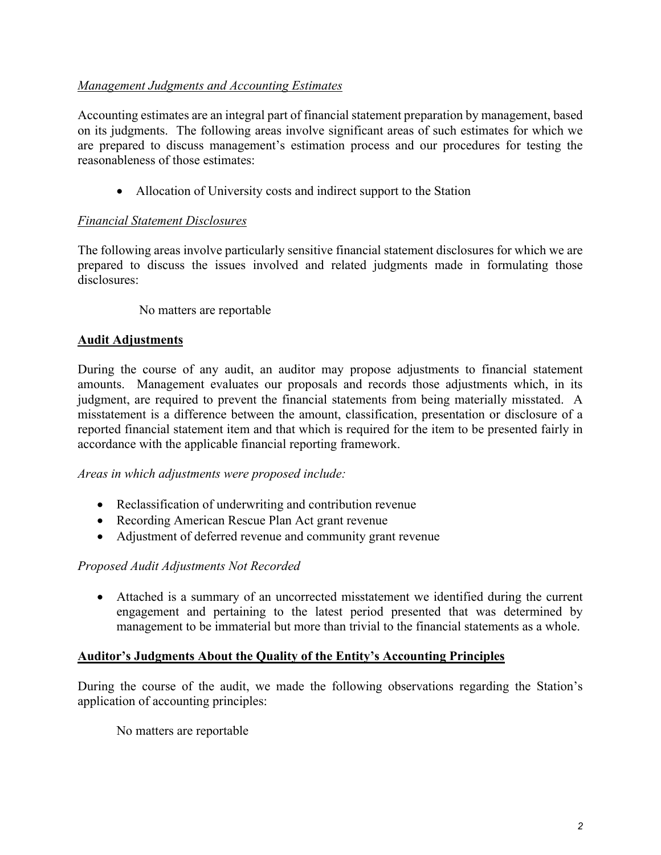## *Management Judgments and Accounting Estimates*

Accounting estimates are an integral part of financial statement preparation by management, based on its judgments. The following areas involve significant areas of such estimates for which we are prepared to discuss management's estimation process and our procedures for testing the reasonableness of those estimates:

• Allocation of University costs and indirect support to the Station

# *Financial Statement Disclosures*

The following areas involve particularly sensitive financial statement disclosures for which we are prepared to discuss the issues involved and related judgments made in formulating those disclosures:

No matters are reportable

# **Audit Adjustments**

During the course of any audit, an auditor may propose adjustments to financial statement amounts. Management evaluates our proposals and records those adjustments which, in its judgment, are required to prevent the financial statements from being materially misstated. A misstatement is a difference between the amount, classification, presentation or disclosure of a reported financial statement item and that which is required for the item to be presented fairly in accordance with the applicable financial reporting framework.

*Areas in which adjustments were proposed include:* 

- Reclassification of underwriting and contribution revenue
- Recording American Rescue Plan Act grant revenue
- Adjustment of deferred revenue and community grant revenue

## *Proposed Audit Adjustments Not Recorded*

 Attached is a summary of an uncorrected misstatement we identified during the current engagement and pertaining to the latest period presented that was determined by management to be immaterial but more than trivial to the financial statements as a whole.

## **Auditor's Judgments About the Quality of the Entity's Accounting Principles**

During the course of the audit, we made the following observations regarding the Station's application of accounting principles:

No matters are reportable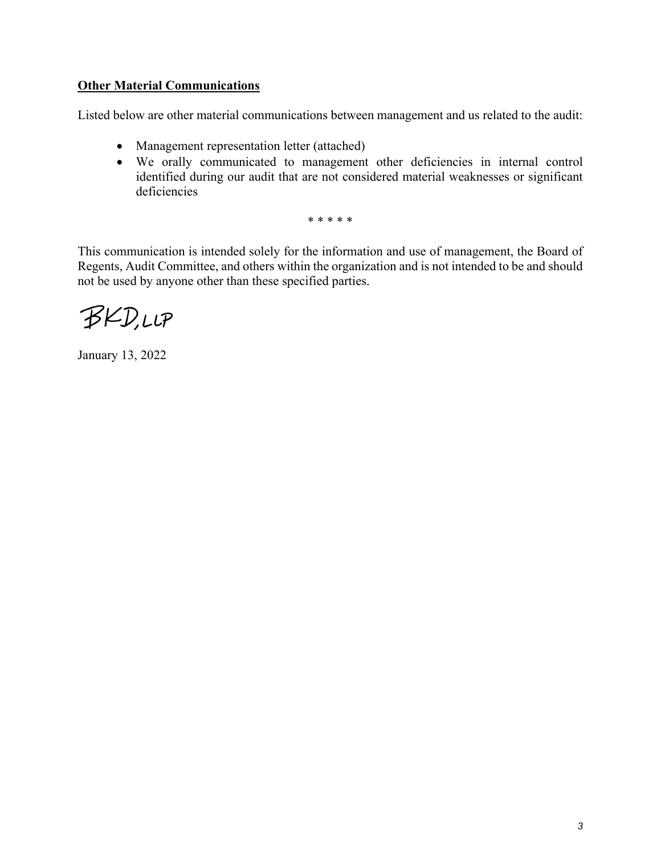## **Other Material Communications**

Listed below are other material communications between management and us related to the audit:

- Management representation letter (attached)
- We orally communicated to management other deficiencies in internal control identified during our audit that are not considered material weaknesses or significant deficiencies

\* \* \* \* \*

This communication is intended solely for the information and use of management, the Board of Regents, Audit Committee, and others within the organization and is not intended to be and should not be used by anyone other than these specified parties.

BKD,LLP

January 13, 2022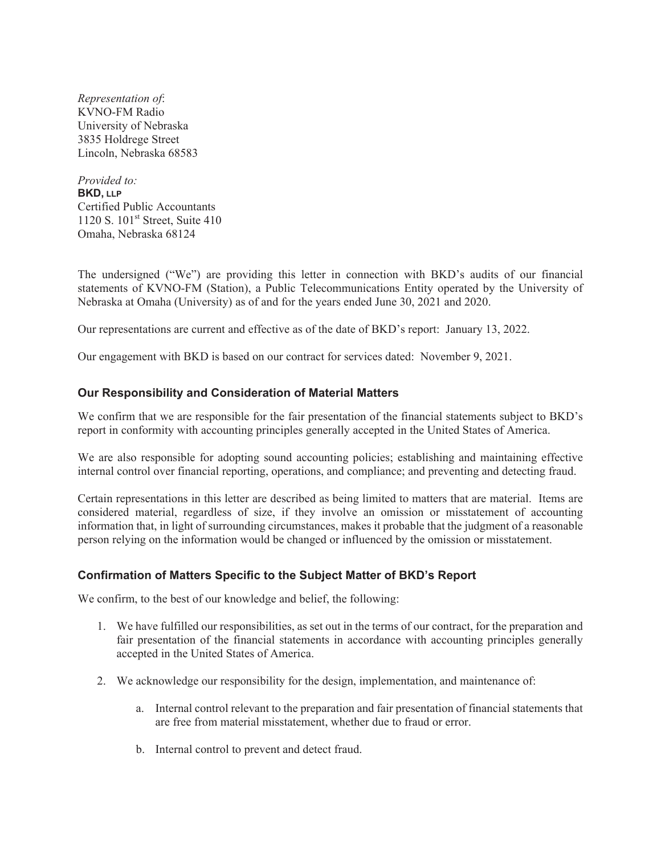*Representation of*: KVNO-FM Radio University of Nebraska 3835 Holdrege Street Lincoln, Nebraska 68583

*Provided to:*  **BKD, LLP** Certified Public Accountants 1120 S.  $101<sup>st</sup>$  Street, Suite 410 Omaha, Nebraska 68124

The undersigned ("We") are providing this letter in connection with BKD's audits of our financial statements of KVNO-FM (Station), a Public Telecommunications Entity operated by the University of Nebraska at Omaha (University) as of and for the years ended June 30, 2021 and 2020.

Our representations are current and effective as of the date of BKD's report: January 13, 2022.

Our engagement with BKD is based on our contract for services dated: November 9, 2021.

#### **Our Responsibility and Consideration of Material Matters**

We confirm that we are responsible for the fair presentation of the financial statements subject to BKD's report in conformity with accounting principles generally accepted in the United States of America.

We are also responsible for adopting sound accounting policies; establishing and maintaining effective internal control over financial reporting, operations, and compliance; and preventing and detecting fraud.

Certain representations in this letter are described as being limited to matters that are material. Items are considered material, regardless of size, if they involve an omission or misstatement of accounting information that, in light of surrounding circumstances, makes it probable that the judgment of a reasonable person relying on the information would be changed or influenced by the omission or misstatement.

#### Confirmation of Matters Specific to the Subject Matter of BKD's Report

We confirm, to the best of our knowledge and belief, the following:

- 1. We have fulfilled our responsibilities, as set out in the terms of our contract, for the preparation and fair presentation of the financial statements in accordance with accounting principles generally accepted in the United States of America.
- 2. We acknowledge our responsibility for the design, implementation, and maintenance of:
	- a. Internal control relevant to the preparation and fair presentation of financial statements that are free from material misstatement, whether due to fraud or error.
	- b. Internal control to prevent and detect fraud.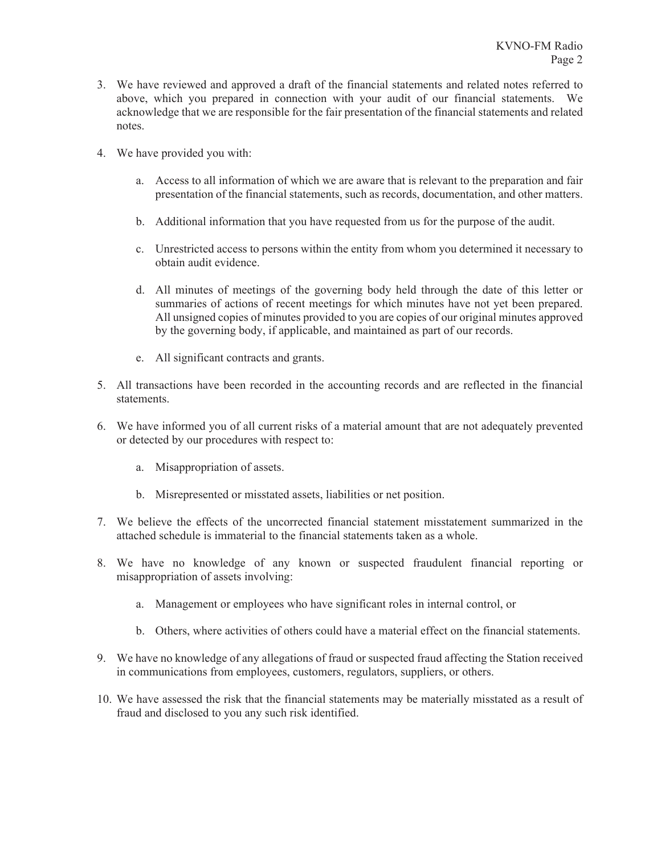- 3. We have reviewed and approved a draft of the financial statements and related notes referred to above, which you prepared in connection with your audit of our financial statements. We acknowledge that we are responsible for the fair presentation of the financial statements and related notes.
- 4. We have provided you with:
	- a. Access to all information of which we are aware that is relevant to the preparation and fair presentation of the financial statements, such as records, documentation, and other matters.
	- b. Additional information that you have requested from us for the purpose of the audit.
	- c. Unrestricted access to persons within the entity from whom you determined it necessary to obtain audit evidence.
	- d. All minutes of meetings of the governing body held through the date of this letter or summaries of actions of recent meetings for which minutes have not yet been prepared. All unsigned copies of minutes provided to you are copies of our original minutes approved by the governing body, if applicable, and maintained as part of our records.
	- e. All significant contracts and grants.
- 5. All transactions have been recorded in the accounting records and are reflected in the financial statements.
- 6. We have informed you of all current risks of a material amount that are not adequately prevented or detected by our procedures with respect to:
	- a. Misappropriation of assets.
	- b. Misrepresented or misstated assets, liabilities or net position.
- 7. We believe the effects of the uncorrected financial statement misstatement summarized in the attached schedule is immaterial to the financial statements taken as a whole.
- 8. We have no knowledge of any known or suspected fraudulent financial reporting or misappropriation of assets involving:
	- a. Management or employees who have significant roles in internal control, or
	- b. Others, where activities of others could have a material effect on the financial statements.
- 9. We have no knowledge of any allegations of fraud or suspected fraud affecting the Station received in communications from employees, customers, regulators, suppliers, or others.
- 10. We have assessed the risk that the financial statements may be materially misstated as a result of fraud and disclosed to you any such risk identified.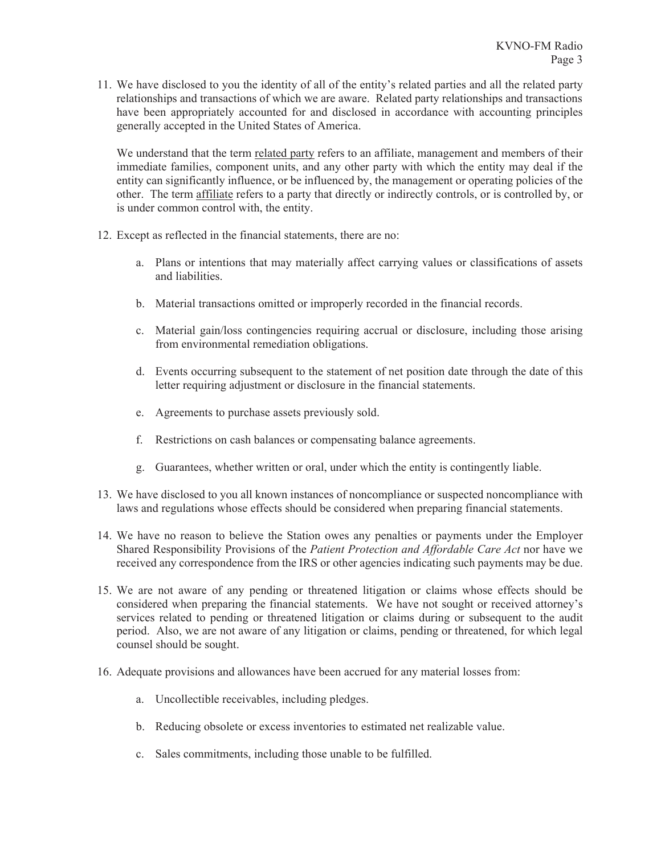11. We have disclosed to you the identity of all of the entity's related parties and all the related party relationships and transactions of which we are aware. Related party relationships and transactions have been appropriately accounted for and disclosed in accordance with accounting principles generally accepted in the United States of America.

We understand that the term related party refers to an affiliate, management and members of their immediate families, component units, and any other party with which the entity may deal if the entity can significantly influence, or be influenced by, the management or operating policies of the other. The term affiliate refers to a party that directly or indirectly controls, or is controlled by, or is under common control with, the entity.

- 12. Except as reflected in the financial statements, there are no:
	- a. Plans or intentions that may materially affect carrying values or classifications of assets and liabilities.
	- b. Material transactions omitted or improperly recorded in the financial records.
	- c. Material gain/loss contingencies requiring accrual or disclosure, including those arising from environmental remediation obligations.
	- d. Events occurring subsequent to the statement of net position date through the date of this letter requiring adjustment or disclosure in the financial statements.
	- e. Agreements to purchase assets previously sold.
	- f. Restrictions on cash balances or compensating balance agreements.
	- g. Guarantees, whether written or oral, under which the entity is contingently liable.
- 13. We have disclosed to you all known instances of noncompliance or suspected noncompliance with laws and regulations whose effects should be considered when preparing financial statements.
- 14. We have no reason to believe the Station owes any penalties or payments under the Employer Shared Responsibility Provisions of the *Patient Protection and Affordable Care Act* nor have we received any correspondence from the IRS or other agencies indicating such payments may be due.
- 15. We are not aware of any pending or threatened litigation or claims whose effects should be considered when preparing the financial statements. We have not sought or received attorney's services related to pending or threatened litigation or claims during or subsequent to the audit period. Also, we are not aware of any litigation or claims, pending or threatened, for which legal counsel should be sought.
- 16. Adequate provisions and allowances have been accrued for any material losses from:
	- a. Uncollectible receivables, including pledges.
	- b. Reducing obsolete or excess inventories to estimated net realizable value.
	- c. Sales commitments, including those unable to be fulfilled.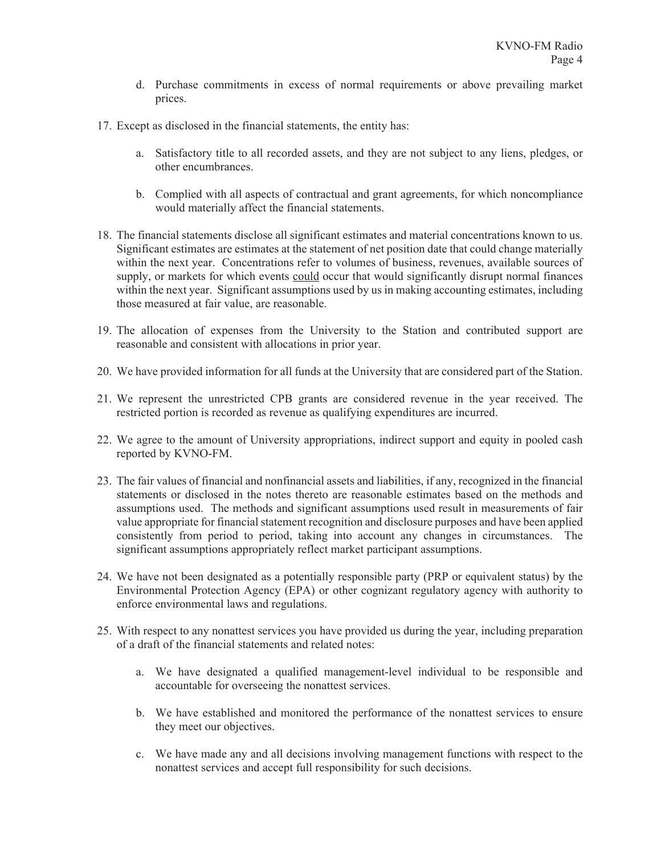- d. Purchase commitments in excess of normal requirements or above prevailing market prices.
- 17. Except as disclosed in the financial statements, the entity has:
	- a. Satisfactory title to all recorded assets, and they are not subject to any liens, pledges, or other encumbrances.
	- b. Complied with all aspects of contractual and grant agreements, for which noncompliance would materially affect the financial statements.
- 18. The financial statements disclose all significant estimates and material concentrations known to us. Significant estimates are estimates at the statement of net position date that could change materially within the next year. Concentrations refer to volumes of business, revenues, available sources of supply, or markets for which events could occur that would significantly disrupt normal finances within the next year. Significant assumptions used by us in making accounting estimates, including those measured at fair value, are reasonable.
- 19. The allocation of expenses from the University to the Station and contributed support are reasonable and consistent with allocations in prior year.
- 20. We have provided information for all funds at the University that are considered part of the Station.
- 21. We represent the unrestricted CPB grants are considered revenue in the year received. The restricted portion is recorded as revenue as qualifying expenditures are incurred.
- 22. We agree to the amount of University appropriations, indirect support and equity in pooled cash reported by KVNO-FM.
- 23. The fair values of financial and nonfinancial assets and liabilities, if any, recognized in the financial statements or disclosed in the notes thereto are reasonable estimates based on the methods and assumptions used. The methods and significant assumptions used result in measurements of fair value appropriate for financial statement recognition and disclosure purposes and have been applied consistently from period to period, taking into account any changes in circumstances. The significant assumptions appropriately reflect market participant assumptions.
- 24. We have not been designated as a potentially responsible party (PRP or equivalent status) by the Environmental Protection Agency (EPA) or other cognizant regulatory agency with authority to enforce environmental laws and regulations.
- 25. With respect to any nonattest services you have provided us during the year, including preparation of a draft of the financial statements and related notes:
	- a. We have designated a qualified management-level individual to be responsible and accountable for overseeing the nonattest services.
	- b. We have established and monitored the performance of the nonattest services to ensure they meet our objectives.
	- c. We have made any and all decisions involving management functions with respect to the nonattest services and accept full responsibility for such decisions.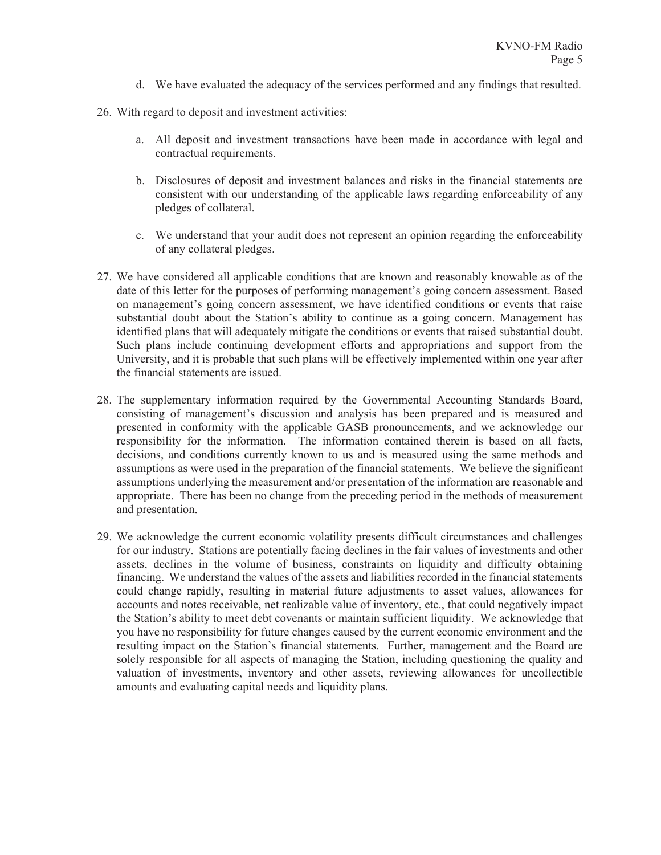- d. We have evaluated the adequacy of the services performed and any findings that resulted.
- 26. With regard to deposit and investment activities:
	- a. All deposit and investment transactions have been made in accordance with legal and contractual requirements.
	- b. Disclosures of deposit and investment balances and risks in the financial statements are consistent with our understanding of the applicable laws regarding enforceability of any pledges of collateral.
	- c. We understand that your audit does not represent an opinion regarding the enforceability of any collateral pledges.
- 27. We have considered all applicable conditions that are known and reasonably knowable as of the date of this letter for the purposes of performing management's going concern assessment. Based on management's going concern assessment, we have identified conditions or events that raise substantial doubt about the Station's ability to continue as a going concern. Management has identified plans that will adequately mitigate the conditions or events that raised substantial doubt. Such plans include continuing development efforts and appropriations and support from the University, and it is probable that such plans will be effectively implemented within one year after the financial statements are issued.
- 28. The supplementary information required by the Governmental Accounting Standards Board, consisting of management's discussion and analysis has been prepared and is measured and presented in conformity with the applicable GASB pronouncements, and we acknowledge our responsibility for the information. The information contained therein is based on all facts, decisions, and conditions currently known to us and is measured using the same methods and assumptions as were used in the preparation of the financial statements. We believe the significant assumptions underlying the measurement and/or presentation of the information are reasonable and appropriate. There has been no change from the preceding period in the methods of measurement and presentation.
- 29. We acknowledge the current economic volatility presents difficult circumstances and challenges for our industry. Stations are potentially facing declines in the fair values of investments and other assets, declines in the volume of business, constraints on liquidity and difficulty obtaining financing. We understand the values of the assets and liabilities recorded in the financial statements could change rapidly, resulting in material future adjustments to asset values, allowances for accounts and notes receivable, net realizable value of inventory, etc., that could negatively impact the Station's ability to meet debt covenants or maintain sufficient liquidity. We acknowledge that you have no responsibility for future changes caused by the current economic environment and the resulting impact on the Station's financial statements. Further, management and the Board are solely responsible for all aspects of managing the Station, including questioning the quality and valuation of investments, inventory and other assets, reviewing allowances for uncollectible amounts and evaluating capital needs and liquidity plans.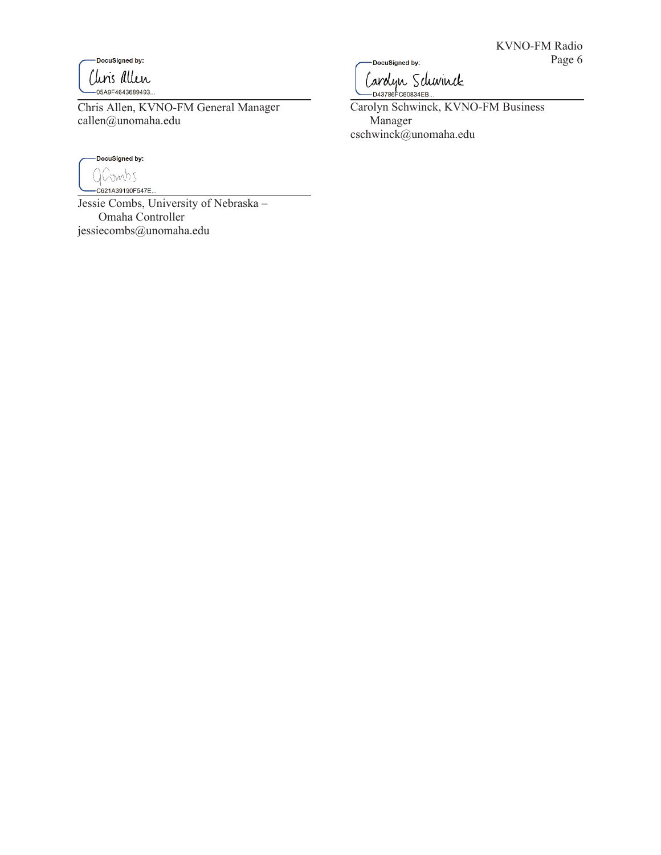DocuSigned by: Chris allen -<br>-05A9F4643689493..

Chris Allen, KVNO-FM General Manager callen@unomaha.edu



Jessie Combs, University of Nebraska – Omaha Controller jessiecombs@unomaha.edu

-DocuSigned by: Carolyn Schwinck

Carolyn Schwinck, KVNO-FM Business Manager cschwinck@unomaha.edu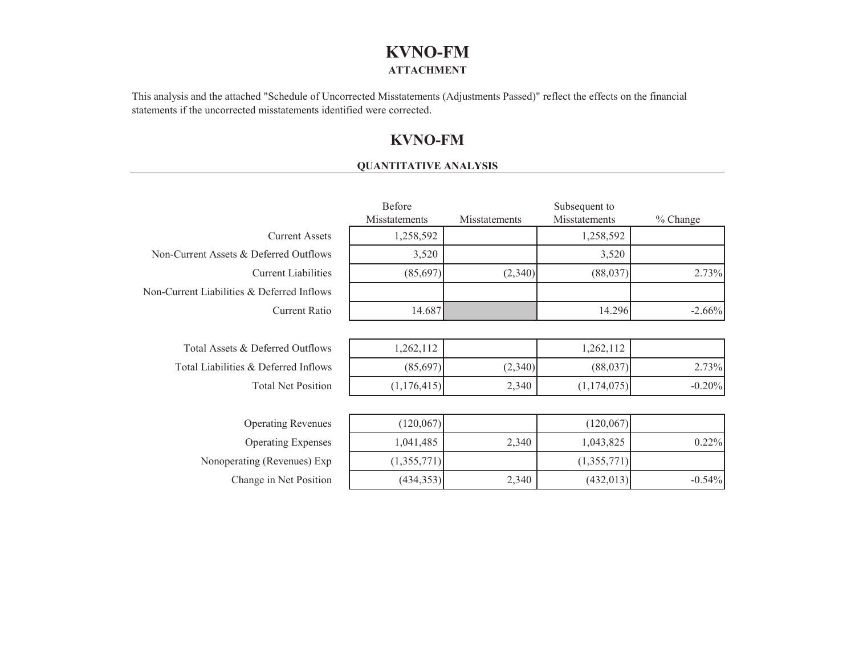# **KVNO-FM ATTACHMENT**

This analysis and the attached "Schedule of Uncorrected Misstatements (Adjustments Passed)" reflect the effects on the financial statements if the uncorrected misstatements identified were corrected.

# **KVNO-FM**

#### **QUANTITATIVE ANALYSIS**

|                                            | Before        |               | Subsequent to |          |  |
|--------------------------------------------|---------------|---------------|---------------|----------|--|
|                                            | Misstatements | Misstatements | Misstatements | % Change |  |
| <b>Current Assets</b>                      | 1,258,592     |               | 1,258,592     |          |  |
| Non-Current Assets & Deferred Outflows     | 3,520         |               | 3,520         |          |  |
| <b>Current Liabilities</b>                 | (85,697)      | (2,340)       | (88,037)      | 2.73%    |  |
| Non-Current Liabilities & Deferred Inflows |               |               |               |          |  |
| <b>Current Ratio</b>                       | 14.687        |               | 14.296        | $-2.66%$ |  |
|                                            |               |               |               |          |  |
| Total Assets & Deferred Outflows           | 1,262,112     |               | 1,262,112     |          |  |
| Total Liabilities & Deferred Inflows       | (85,697)      | (2,340)       | (88,037)      | 2.73%    |  |
| <b>Total Net Position</b>                  | (1,176,415)   | 2,340         | (1,174,075)   | $-0.20%$ |  |
|                                            |               |               |               |          |  |
| <b>Operating Revenues</b>                  | (120,067)     |               | (120,067)     |          |  |
| <b>Operating Expenses</b>                  | 1,041,485     | 2,340         | 1,043,825     | 0.22%    |  |
| Nonoperating (Revenues) Exp                | (1,355,771)   |               | (1,355,771)   |          |  |
| Change in Net Position                     | (434, 353)    | 2,340         | (432, 013)    | $-0.54%$ |  |